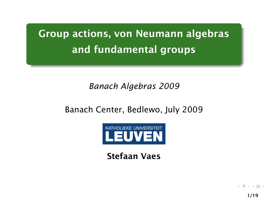Group actions, von Neumann algebras and fundamental groups

### *Banach Algebras 2009*

# Banach Center, Bedlewo, July 2009



Stefaan Vaes

<span id="page-0-0"></span>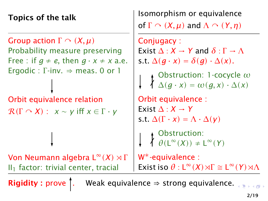Topics of the talk

Group action  $\Gamma \cap (X,\mu)$ Probability measure preserving Free : if  $q \neq e$ , then  $q \cdot x \neq x$  a.e. Ergodic : Γ-inv.  $\Rightarrow$  meas. 0 or 1

Orbit equivalence relation  $R(\Gamma \cap X)$ :  $x \sim y$  iff  $x \in \Gamma \cdot y$ 

**Von Neumann algebra L<sup>∞</sup>(***X***) × Γ**  $II<sub>1</sub>$  factor: trivial center, tracial

Isomorphism or equivalence of  $\Gamma \cap (X, \mu)$  and  $\Lambda \cap (Y, \eta)$ 

Conjugacy : Exist  $\Delta: X \to Y$  and  $\delta: \Gamma \to \Lambda$ s.t.  $\Delta(q \cdot x) = \delta(q) \cdot \Delta(x)$ . Obstruction: 1-cocycle *ω*  $\Delta$ *(g* · *x*) =  $\omega$ *(g, x*) ·  $\Delta$ *(x)* Orbit equivalence : Exist  $\Lambda: X \rightarrow Y$ s.t.  $\Delta(\Gamma \cdot x) = \Lambda \cdot \Delta(y)$ Obstruction:  $\theta(L^{\infty}(X)) \neq L^{\infty}(Y)$ W∗-equivalence : **Exist iso**  $\theta$  :  $L^{\infty}(X) \rtimes \Gamma \cong L^{\infty}(Y) \rtimes \Lambda$ 

**Rigidity :** prove  $\int$ . Weak equivalence  $\Rightarrow$  strong equivalence.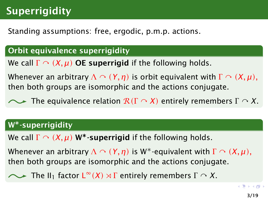# **Superrigidity**

### Standing assumptions: free, ergodic, p.m.p. actions.

#### Orbit equivalence superrigidity

We call  $\Gamma \cap (X, \mu)$  OE superrigid if the following holds.

Whenever an arbitrary  $\Lambda \cap (Y,\eta)$  is orbit equivalent with  $\Gamma \cap (X,\mu)$ , then both groups are isomorphic and the actions conjugate.

The equivalence relation <sup>R</sup>*(*<sup>Γ</sup> *<sup>X</sup>)* entirely remembers <sup>Γ</sup> *<sup>X</sup>*.

#### W∗-superrigidity

We call  $\Gamma \cap (X, \mu)$  W<sup>\*</sup>-superrigid if the following holds.

Whenever an arbitrary  $\Lambda \cap (Y, \eta)$  is W<sup>\*</sup>-equivalent with  $\Gamma \cap (X, \mu)$ , then both groups are isomorphic and the actions conjugate.

<span id="page-2-0"></span>The II<sub>1</sub> factor  $\mathsf{L}^{\infty}(X) \rtimes \Gamma$  entirely remembers  $\Gamma \curvearrowright X$ .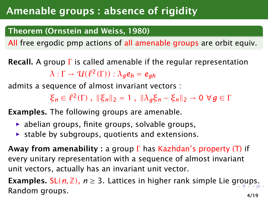# Amenable groups : absence of rigidity

### Theorem (Ornstein and Weiss, 1980)

All free ergodic pmp actions of all amenable groups are orbit equiv.

**Recall.** A group  $\Gamma$  is called amenable if the regular representation  $\lambda: \Gamma \to U(\ell^2(\Gamma)) : \lambda_g e_h = e_{gh}$ 

admits a sequence of almost invariant vectors :

<span id="page-3-0"></span> $\zeta$ <sup>*n*</sup> ∈  $\ell^2$  (Γ),  $\|\zeta_n\|_2 = 1$ ,  $\|\lambda_g \zeta_n - \zeta_n\|_2 \to 0 \; \forall g \in \Gamma$ 

Examples. The following groups are amenable.

- $\rightarrow$  abelian groups, finite groups, solvable groups,
- $\rightarrow$  stable by subgroups, quotients and extensions.

**Away from amenability**: a group  $\Gamma$  has Kazhdan's property (T) if every unitary representation with a sequence of almost invariant unit vectors, actually has an invariant unit vector.

**Exam[p](#page-2-0)le[s.](#page-3-0)** SL( $n$ ,  $\mathbb{Z}$ ),  $n \geq 3$ . Lattices in higher rank simple Lie [gro](#page-0-0)[u](#page-18-0)ps. Random groups. 4/19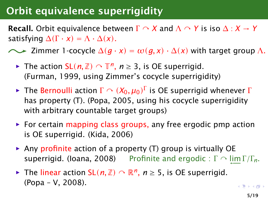# Orbit equivalence superrigidity

**Recall.** Orbit equivalence between  $\Gamma \cap X$  and  $\Lambda \cap Y$  is iso  $\Delta : X \to Y$ satisfying  $\Delta(\Gamma \cdot x) = \Lambda \cdot \Delta(x)$ .

 $\sim$  Zimmer 1-cocycle  $\Delta(q \cdot x) = \omega(q, x) \cdot \Delta(x)$  with target group  $\Lambda$ .

- *►* The action  $SL(n, \mathbb{Z})$   $\cap$   $\mathbb{T}^n$ ,  $n \geq 3$ , is OE superrigid. (Furman, 1999, using Zimmer's cocycle superrigidity)
- *► The Bernoulli action Γ*  $\cap$  $(X_0, \mu_0)^\Gamma$  *is OE superrigid whenever Γ<br>has property (Γ) (Ropa, 2005, using his socyclo superrigidity* has property (T). (Popa, 2005, using his cocycle superrigidity with arbitrary countable target groups)
- ► For certain mapping class groups, any free ergodic pmp action is OE superrigid. (Kida, 2006)
- **► Any profinite action of a property (T) group is virtually OE superrigid.** (loana, 2008) Profinite and ergodic :  $\Gamma \cap \varprojlim \Gamma/\Gamma_n$ .
- *►* The linear action  $SL(n, \mathbb{Z}) \cap \mathbb{R}^n$ ,  $n \geq 5$ , is OE superrigid. (Popa – V, 2008).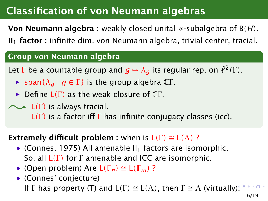# Classification of von Neumann algebras

Von Neumann algebra : weakly closed unital ∗-subalgebra of B*(H)*.

 $II<sub>1</sub>$  factor : infinite dim. von Neumann algebra, trivial center, tracial.

#### Group von Neumann algebra

Let  $\Gamma$  be a countable group and  $g \mapsto \lambda_g$  its regular rep. on  $\ell^2(\Gamma)$ .

- $\triangleright$  span $\{\lambda_{a} \mid g \in \Gamma\}$  is the group algebra CΓ.
- **►** Define L(Γ) as the weak closure of CΓ.

### $\sim$  **L**(Γ) is always tracial. <sup>L</sup>*(*<sup>Γ</sup> *)* is a factor iff <sup>Γ</sup> has infinite conjugacy classes (icc).

### **Extremely difficult problem :** when is  $L(\Gamma) \cong L(\Lambda)$ ?

- (Connes, 1975) All amenable  $II_1$  factors are isomorphic. So, all <sup>L</sup>*(*<sup>Γ</sup> *)* for <sup>Γ</sup> amenable and ICC are isomorphic.
- (Open problem) Are  $L(\mathbb{F}_n) \cong L(\mathbb{F}_m)$ ?
- (Connes' conjecture) If  $\Gamma$  has property (T) and  $L(\Gamma) \cong L(\Lambda)$ , then  $\Gamma \cong \Lambda$  (virtually[\).](#page-0-0)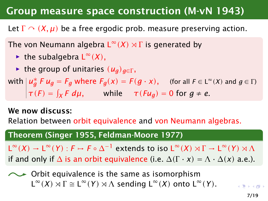## Group measure space construction (M-vN 1943)

Let  $\Gamma \cap (X, \mu)$  be a free ergodic prob. measure preserving action.

The von Neumann algebra  $L^{\infty}(X) \rtimes \Gamma$  is generated by

- ► the subalgebra  $L^{\infty}(X)$ ,
- $\blacktriangleright$  the group of unitaries  $(u_q)_{q \in \Gamma}$ ,

 $w$  *i*th  $| u_g^* F u_g = F_g$  where  $F_g(x) = F(g \cdot x)$ , (for all  $F \in L^{\infty}(X)$  and  $g \in \Gamma$ )  $\tau(F) = \int_X F d\mu$ , while  $\tau(Fu_g) = 0$  for  $g \neq e$ .

#### We now discuss:

Relation between orbit equivalence and von Neumann algebras.

#### Theorem (Singer 1955, Feldman-Moore 1977)

 $L^{\infty}(X) \to L^{\infty}(Y)$  :  $F \mapsto F \circ \Delta^{-1}$  extends to iso  $L^{\infty}(X) \rtimes \Gamma \to L^{\infty}(Y) \rtimes \Lambda$ <br>if each only if  $\Lambda$  is an orbit equivalence (i.e.  $\Lambda(F, \mu) \to \Lambda^{\bullet}(F) \rtimes \Lambda$ if and only if  $\Delta$  is an orbit equivalence (i.e.  $\Delta(\Gamma \cdot x) = \Lambda \cdot \Delta(x)$  a.e.).

 $\sim$  Orbit equivalence is the same as isomorphism  $L^{\infty}(X) \rtimes \Gamma \cong L^{\infty}(Y) \rtimes \Lambda$  sending  $L^{\infty}(X)$  onto  $L^{\infty}(Y)$ .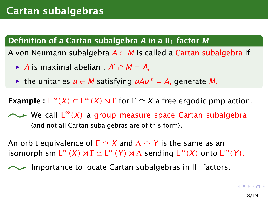### Definition of a Cartan subalgebra *A* in a II<sub>1</sub> factor *M*

A von Neumann subalgebra *A* ⊂ *M* is called a Cartan subalgebra if

- *► A* is maximal abelian :  $A' \cap M = A$ ,
- *<sup>ñ</sup>* the unitaries *u* ∈ *M* satisfying *uAu*<sup>∗</sup> = *A*, generate *M*.

**Example :**  $L^{\infty}(X) \subset L^{\infty}(X) \rtimes \Gamma$  for  $\Gamma \cap X$  a free ergodic pmp action.

We call L <sup>∞</sup>*(X)* a group measure space Cartan subalgebra (and not all Cartan subalgebras are of this form).

An orbit equivalence of  $\Gamma \cap X$  and  $\Lambda \cap Y$  is the same as an  $\textsf{isomorphism } \mathsf{L}^\infty(\mathsf{X}) \rtimes \Gamma \cong \mathsf{L}^\infty(\mathsf{Y}) \rtimes \Lambda \text{ sending } \mathsf{L}^\infty(\mathsf{X}) \text{ onto } \mathsf{L}^\infty(\mathsf{Y})$ .

<span id="page-7-0"></span>Importance to locate Cartan subalgebras in  $II_1$  factors.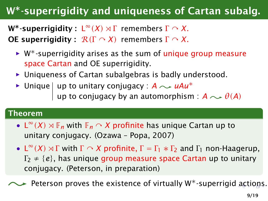# W∗-superrigidity and uniqueness of Cartan subalg.

W∗-superrigidity : L <sup>∞</sup>*(X) Ï* <sup>Γ</sup> remembers <sup>Γ</sup> *<sup>X</sup>*. **OE superrigidity:**  $R(\Gamma \cap X)$  remembers  $\Gamma \cap X$ .

- **► W**<sup>\*</sup>-superrigidity arises as the sum of unique group measure space Cartan and OE superrigidity.
- ▶ Uniqueness of Cartan subalgebras is badly understood.
- **►** Unique | up to unitary conjugacy : *A*  $\sim$  uAu<sup>\*</sup> up to conjugacy by an automorphism :  $A \sim \theta(A)$

#### Theorem

- L<sup>∞</sup>(*X*)  $\rtimes \mathbb{F}_n$  with  $\mathbb{F}_n \curvearrowright X$  profinite has unique Cartan up to unitary conjugacy. (Ozawa – Popa, 2007)
- <span id="page-8-0"></span>•  $L^{\infty}(X) \rtimes \Gamma$  with  $\Gamma \cap X$  profinite,  $\Gamma = \Gamma_1 * \Gamma_2$  and  $\Gamma_1$  non-Haagerup, <sup>Γ</sup><sup>2</sup> <sup>≠</sup> {*e*}, has unique group measure space Cartan up to unitary conjugacy. (Peterson, in preparation)

Peterson proves the existence of virtually W∗-superrigi[d a](#page-0-0)[cti](#page-18-0)[o](#page-7-0)[n](#page-8-0)[s.](#page-9-0)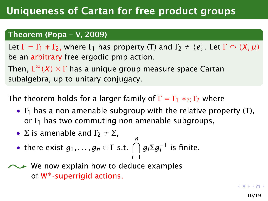#### Theorem (Popa – V, 2009)

Let  $\Gamma = \Gamma_1 * \Gamma_2$ , where  $\Gamma_1$  has property (T) and  $\Gamma_2 \neq \{e\}$ . Let  $\Gamma \cap (X, \mu)$ be an arbitrary free ergodic pmp action.

Then,  $L^{\infty}(X) \rtimes \Gamma$  has a unique group measure space Cartan<br>subalgebra, un to unitany conjugacy subalgebra, up to unitary conjugacy.

The theorem holds for a larger family of  $\Gamma = \Gamma_1 *_{\Sigma} \Gamma_2$  where

- $\Gamma_1$  has a non-amenable subgroup with the relative property (T), or  $\Gamma_1$  has two commuting non-amenable subgroups,
- $\Sigma$  is amenable and  $\Gamma_2 \neq \Sigma$ ,
- <span id="page-9-0"></span>• there exist  $g_1, \ldots, g_n \in \Gamma$  s.t.  $\bigcap_{i=1}^n g_i \Sigma g_i^{-1}$  is finite. *i*=1
- We now explain how to deduce examples of W∗-superrigid actions.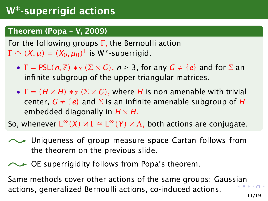### Theorem (Popa – V, 2009)

For the following groups  $\Gamma$ , the Bernoulli action  $\Gamma \cap (X,\mu) = (X_0,\mu_0)^{\Gamma}$  is W<sup>\*</sup>-superrigid.

- $\Gamma = \text{PSL}(n, \mathbb{Z}) *_{\Sigma} (\Sigma \times G), n \geq 3$ , for any  $G \neq \{e\}$  and for  $\Sigma$  an infinite subgroup of the upper triangular matrices.
- $\Gamma = (H \times H) *_{\Sigma} (\Sigma \times G)$ , where *H* is non-amenable with trivial center,  $G \neq \{e\}$  and  $\Sigma$  is an infinite amenable subgroup of *H* embedded diagonally in  $H \times H$ .

So, whenever  $L^{\infty}(X) \rtimes \Gamma \cong L^{\infty}(Y) \rtimes \Lambda$ , both actions are conjugate.

- Uniqueness of group measure space Cartan follows from the theorem on the previous slide.
- $\sim$  OE superrigidity follows from Popa's theorem.

Same methods cover other actions of the same groups: Gaus[sia](#page-0-0)[n](#page-18-0) actions, generalized Bernoulli actions, co-induced actions.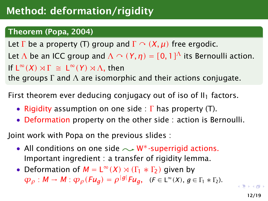### Theorem (Popa, 2004)

Let  $\Gamma$  be a property (T) group and  $\Gamma \cap (X, \mu)$  free ergodic. Let  $\Lambda$  be an ICC group and  $\Lambda \cap (Y, \eta) = [0, 1]^{\Lambda}$  its Bernoulli action. If  $L^∞(X) ∦ Γ ≥ L^∞(Y) ∦Λ$ , then<br>the groups Γ and Δ are isomorn the groups  $\Gamma$  and  $\Lambda$  are isomorphic and their actions conjugate.

First theorem ever deducing conjugacy out of iso of  $II_1$  factors.

- Rigidity assumption on one side :  $\Gamma$  has property (T).
- Deformation property on the other side : action is Bernoulli.

Joint work with Popa on the previous slides :

- All conditions on one side  $\sim$  W<sup>\*</sup>-superrigid actions. Important ingredient : a transfer of rigidity lemma.
- Deformation of  $M = L^{\infty}(X) \rtimes (\Gamma_1 * \Gamma_2)$  given by  $\varphi$ <sup>*ρ*</sup> : *M* → *M* :  $\varphi$ <sub>*ρ*</sub>(*Fu<sub>g</sub>*)</sub> =  $\rho$ <sup>|g|</sup>*Fu<sub>g</sub>*, (*F* ∈ L<sup>∞</sup>(*X*), *g* ∈ Γ<sub>1</sub> ∗ Γ<sub>2</sub>).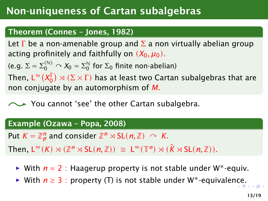# Non-uniqueness of Cartan subalgebras

#### Theorem (Connes – Jones, 1982)

Let  $\Gamma$  be a non-amenable group and  $\Sigma$  a non virtually abelian group acting profinitely and faithfully on  $(X_0, \mu_0)$ .

(e.g. Σ = Σ<sup>(N)</sup> ∩  $X_0$  = Σ<sup>N</sup><sub>0</sub><sup>2</sup>  $\int\limits_0^\infty$  for  $\Sigma_0$  finite non-abelian)<br>—

Then,  $L^{\infty}(X_{0}^{\Gamma}) \rtimes (\Sigma \times \Gamma)$  has at least two Cartan subalgebras that are<br>non-conjugate by an automorphism of *M* non conjugate by an automorphism of *M*.

You cannot 'see' the other Cartan subalgebra.

#### Example (Ozawa – Popa, 2008)

Put  $K = \mathbb{Z}_p^n$  and consider  $\mathbb{Z}^n \rtimes \mathsf{SL}(n, \mathbb{Z}) \ \curvearrowright \ K$ .

 $\mathsf{Then, L}^{\infty}(K) \rtimes (\mathbb{Z}^{n} \rtimes \mathsf{SL}(n, \mathbb{Z})) \cong \mathsf{L}^{\infty}(\mathbb{T}^{n}) \rtimes (\hat{K} \rtimes \mathsf{SL}(n, \mathbb{Z})).$ 

- *<sup>ñ</sup>* With *n* = 2 : Haagerup property is not stable under W∗-equiv.
- *<sup>ñ</sup>* With *n* ≥ 3 : property (T) is not stable under W∗-equivale[nce](#page-0-0)[.](#page-18-0)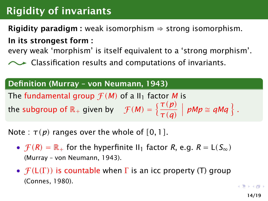# Rigidity of invariants

**Rigidity paradigm :** weak isomorphism  $\Rightarrow$  strong isomorphism.

In its strongest form :

every weak 'morphism' is itself equivalent to a 'strong morphism'.

Classification results and computations of invariants.

### Definition (Murray – von Neumann, 1943)

The fundamental group  $\mathcal{F}(M)$  of a II<sub>1</sub> factor M is

the subgroup of  $\mathbb{R}_+$  given by  $\mathcal{F}(M) = \left\{ \frac{\tau(p)}{\tau(p)} \right\}$ *τ(q)*  $\left\{ pMp \cong qMq \right\}$ .

Note :  $\tau(p)$  ranges over the whole of  $[0, 1]$ .

- $\mathcal{F}(R) = \mathbb{R}_+$  for the hyperfinite II<sub>1</sub> factor *R*, e.g.  $R = L(S_\infty)$ (Murray – von Neumann, 1943).
- $\mathcal{F}(L(\Gamma))$  is countable when  $\Gamma$  is an icc property (T) group (Connes, 1980).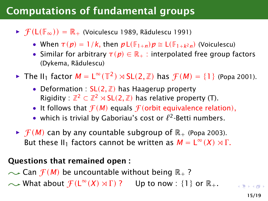# Computations of fundamental groups

**►**  $\mathcal{F}(L(\mathbb{F}_{\infty})) = \mathbb{R}_{+}$  (Voiculescu 1989, Rădulescu 1991)

- When  $\tau(p) = 1/k$ , then  $p \mathsf{L}(\mathbb{F}_{1+n}) p \cong \mathsf{L}(\mathbb{F}_{1+k^2 n})$  (Voiculescu)
- Similar for arbitrary  $\tau(p) \in \mathbb{R}_+$ : interpolated free group factors (Dykema, Rădulescu)
- ► The II<sub>1</sub> factor  $M = L^{\infty}(\mathbb{T}^2) \rtimes SL(2, \mathbb{Z})$  has  $\mathcal{F}(M) = \{1\}$  (Popa 2001).
	- Deformation :  $SL(2, \mathbb{Z})$  has Haagerup property Rigidity :  $\mathbb{Z}^2 \subset \mathbb{Z}^2 \rtimes SL(2,\mathbb{Z})$  has relative property (T).
	- It follows that  $f(M)$  equals  $f($ orbit equivalence relation),
	- which is trivial by Gaboriau's cost or  $\ell^2$ -Betti numbers.
- $\blacktriangleright$  *f*(*M*) can by any countable subgroup of  $\mathbb{R}_+$  (Popa 2003). But these II<sub>1</sub> factors cannot be written as  $M = L^{\infty}(X) \rtimes \Gamma$ .

#### Questions that remained open :

 $\sim$  Can  $f(M)$  be uncountable without being  $\mathbb{R}_+$  ? What about  $\mathcal{F}(\mathsf{L}^\infty(\mathsf{X})\rtimes\Gamma)$  ? Up to now : {1} or  $\mathbb{R}_+$ .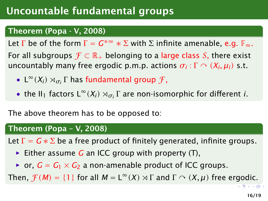# Uncountable fundamental groups

#### Theorem (Popa - V, 2008)

Let  $\Gamma$  be of the form  $\Gamma = G^{*\infty} * \Sigma$  with  $\Sigma$  infinite amenable, e.g.  $\mathbb{F}_{\infty}$ . For all subgroups  $\mathcal{F} \subset \mathbb{R}_+$  belonging to a large class S, there exist uncountably many free ergodic p.m.p. actions  $\sigma_i : \Gamma \curvearrowright (X_i, \mu_i)$  s.t.

- $L^{\infty}(X_i) \rtimes_{\sigma_i} \Gamma$  has fundamental group  $\mathcal{F}$ ,
- the II<sub>1</sub> factors  $L^{\infty}(X_i) \rtimes_{\sigma_i} \Gamma$  are non-isomorphic for different *i*.

The above theorem has to be opposed to:

#### Theorem (Popa – V, 2008)

Let  $\Gamma = G * \Sigma$  be a free product of finitely generated, infinite groups.

- *ñ* Either assume *G* an ICC group with property (T),
- or,  $G = G_1 \times G_2$  a non-amenable product of ICC groups.

Then,  $\mathcal{F}(M) = \{1\}$  for all  $M = L^{\infty}(X) \rtimes \Gamma$  and  $\Gamma \curvearrowright (X, \mu)$  free ergodic.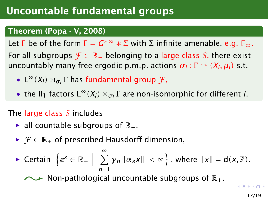# Uncountable fundamental groups

### Theorem (Popa - V, 2008)

Let  $\Gamma$  be of the form  $\Gamma = G^{*\infty} * \Sigma$  with  $\Sigma$  infinite amenable, e.g.  $\mathbb{F}_{\infty}$ . For all subgroups  $\mathcal{F} \subset \mathbb{R}_+$  belonging to a large class S, there exist uncountably many free ergodic p.m.p. actions  $\sigma_i : \Gamma \curvearrowright (X_i, \mu_i)$  s.t.

- $L^{\infty}(X_i) \rtimes_{\sigma_i} \Gamma$  has fundamental group  $\mathcal{F}$ ,
- the II<sub>1</sub> factors  $L^{\infty}(X_i) \rtimes_{\sigma_i} \Gamma$  are non-isomorphic for different *i*.

### The large class  $S$  includes

- $\blacktriangleright$  all countable subgroups of  $\mathbb{R}_+$ ,
- **►**  $\mathcal{F} \subset \mathbb{R}_+$  of prescribed Hausdorff dimension,

• Certain 
$$
\{e^x \in \mathbb{R}_+ \mid \sum_{n=1}^{\infty} y_n ||\alpha_n x|| < \infty \}
$$
, where  $||x|| = d(x, \mathbb{Z})$ .

Non-pathological uncountable subgroups of  $\mathbb{R}_+$ .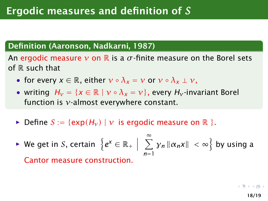### Definition (Aaronson, Nadkarni, 1987)

An ergodic measure  $\nu$  on  $\mathbb R$  is a  $\sigma$ -finite measure on the Borel sets of  $R$  such that

- for every  $x \in \mathbb{R}$ , either  $v \circ \lambda_x = v$  or  $v \circ \lambda_x \perp v$ ,
- writing  $H_v = \{x \in \mathbb{R} \mid v \circ \lambda_x = v\}$ , every  $H_v$ -invariant Borel function is *ν*-almost everywhere constant.
- $\triangleright$  Define  $S := \{ \exp(H_v) \mid v \text{ is ergodic measure on } \mathbb{R} \}.$
- *►* We get in S, certain  $\{e^x \in \mathbb{R}_+ \mid$  $\sum^{\infty}$ *n*=1  $\left\| \gamma_n \right\| \alpha_n x \Vert ~<\infty$ } by using a Cantor measure construction.